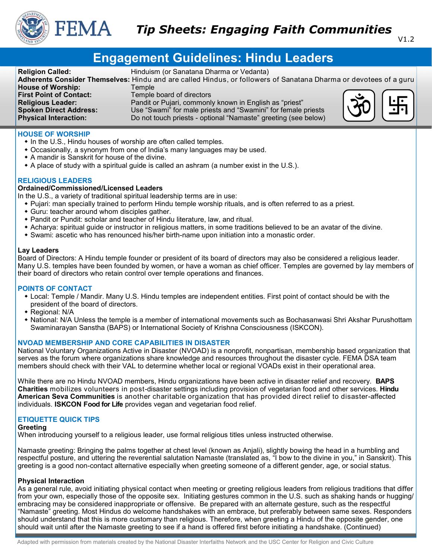

# **Engagement Guidelines: Hindu Leaders**

| <b>Religion Called:</b>        | Hinduism (or Sanatana Dharma or Vedanta)                                                                          |                                      |
|--------------------------------|-------------------------------------------------------------------------------------------------------------------|--------------------------------------|
|                                | Adherents Consider Themselves: Hindu and are called Hindus, or followers of Sanatana Dharma or devotees of a guru |                                      |
| <b>House of Worship:</b>       | Temple⊺                                                                                                           |                                      |
| <b>First Point of Contact:</b> | Temple board of directors                                                                                         |                                      |
| <b>Religious Leader:</b>       | Pandit or Pujari, commonly known in English as "priest"                                                           | $\ddot{\mathrm{co}}$<br>$\mathbb{H}$ |
| <b>Spoken Direct Address:</b>  | Use "Swami" for male priests and "Swamini" for female priests                                                     |                                      |
| <b>Physical Interaction:</b>   | Do not touch priests - optional "Namaste" greeting (see below)                                                    |                                      |

# **HOUSE OF WORSHIP**

- In the U.S., Hindu houses of worship are often called temples.
- Occasionally, a synonym from one of India's many languages may be used.
- A mandir is Sanskrit for house of the divine.
- A place of study with a spiritual guide is called an ashram (a number exist in the U.S.).

# **RELIGIOUS LEADERS**

## **Ordained/Commissioned/Licensed Leaders**

In the U.S., a variety of traditional spiritual leadership terms are in use:

- Pujari: man specially trained to perform Hindu temple worship rituals, and is often referred to as a priest.
- Guru: teacher around whom disciples gather.
- Pandit or Pundit: scholar and teacher of Hindu literature, law, and ritual.
- Acharya: spiritual guide or instructor in religious matters, in some traditions believed to be an avatar of the divine.
- Swami: ascetic who has renounced his/her birth-name upon initiation into a monastic order.

## **Lay Leaders**

Board of Directors: A Hindu temple founder or president of its board of directors may also be considered a religious leader. Many U.S. temples have been founded by women, or have a woman as chief officer. Temples are governed by lay members of their board of directors who retain control over temple operations and finances.

## **POINTS OF CONTACT**

- Local: Temple / Mandir. Many U.S. Hindu temples are independent entities. First point of contact should be with the president of the board of directors.
- Regional: N/A
- National: N/A Unless the temple is a member of international movements such as Bochasanwasi Shri Akshar Purushottam Swaminarayan Sanstha (BAPS) or International Society of Krishna Consciousness (ISKCON).

## **NVOAD MEMBERSHIP AND CORE CAPABILITIES IN DISASTER**

National Voluntary Organizations Active in Disaster (NVOAD) is a nonprofit, nonpartisan, membership based organization that serves as the forum where organizations share knowledge and resources throughout the disaster cycle. FEMA DSA team members should check with their VAL to determine whether local or regional VOADs exist in their operational area.

While there are no Hindu NVOAD members, Hindu organizations have been active in disaster relief and recovery. **BAPS Charities** mobilizes volunteers in post-disaster settings including provision of vegetarian food and other services. **Hindu American Seva Communities** is another charitable organization that has provided direct relief to disaster-affected individuals. **ISKCON Food for Life** provides vegan and vegetarian food relief.

# **ETIQUETTE QUICK TIPS**

#### **Greeting**

When introducing yourself to a religious leader, use formal religious titles unless instructed otherwise.

Namaste greeting: Bringing the palms together at chest level (known as Anjali), slightly bowing the head in a humbling and respectful posture, and uttering the reverential salutation Namaste (translated as, "I bow to the divine in you," in Sanskrit). This greeting is a good non-contact alternative especially when greeting someone of a different gender, age, or social status.

## **Physical Interaction**

As a general rule, avoid initiating physical contact when meeting or greeting religious leaders from religious traditions that differ from your own, especially those of the opposite sex. Initiating gestures common in the U.S. such as shaking hands or hugging/ embracing may be considered inappropriate or offensive. Be prepared with an alternate gesture, such as the respectful "Namaste" greeting. Most Hindus do welcome handshakes with an embrace, but preferably between same sexes. Responders should understand that this is more customary than religious. Therefore, when greeting a Hindu of the opposite gender, one should wait until after the Namaste greeting to see if a hand is offered first before initiating a handshake. (Continued)